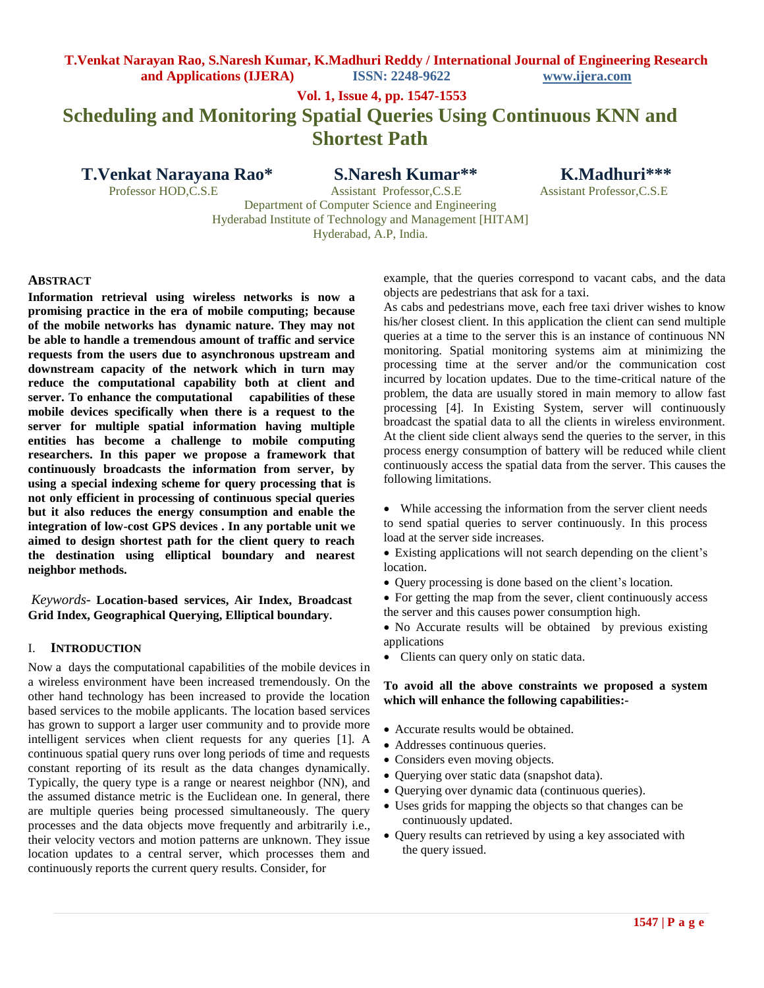**Vol. 1, Issue 4, pp. 1547-1553**

# **Scheduling and Monitoring Spatial Queries Using Continuous KNN and Shortest Path**

**T.Venkat Narayana Rao\* S.Naresh Kumar\*\* K.Madhuri\*\*\*** 

Professor HOD,C.S.E Assistant Professor,C.S.E Assistant Professor,C.S.E Department of Computer Science and Engineering Hyderabad Institute of Technology and Management [HITAM] Hyderabad, A.P, India.

# **ABSTRACT**

**Information retrieval using wireless networks is now a promising practice in the era of mobile computing; because of the mobile networks has dynamic nature. They may not be able to handle a tremendous amount of traffic and service requests from the users due to asynchronous upstream and downstream capacity of the network which in turn may reduce the computational capability both at client and server. To enhance the computational capabilities of these mobile devices specifically when there is a request to the server for multiple spatial information having multiple entities has become a challenge to mobile computing researchers. In this paper we propose a framework that continuously broadcasts the information from server, by using a special indexing scheme for query processing that is not only efficient in processing of continuous special queries but it also reduces the energy consumption and enable the integration of low-cost GPS devices . In any portable unit we aimed to design shortest path for the client query to reach the destination using elliptical boundary and nearest neighbor methods.**

*Keywords-* **Location-based services, Air Index, Broadcast Grid Index, Geographical Querying, Elliptical boundary.**

### I. **INTRODUCTION**

Now a days the computational capabilities of the mobile devices in a wireless environment have been increased tremendously. On the other hand technology has been increased to provide the location based services to the mobile applicants. The location based services has grown to support a larger user community and to provide more intelligent services when client requests for any queries [1]. A continuous spatial query runs over long periods of time and requests constant reporting of its result as the data changes dynamically. Typically, the query type is a range or nearest neighbor (NN), and the assumed distance metric is the Euclidean one. In general, there are multiple queries being processed simultaneously. The query processes and the data objects move frequently and arbitrarily i.e., their velocity vectors and motion patterns are unknown. They issue location updates to a central server, which processes them and continuously reports the current query results. Consider, for

example, that the queries correspond to vacant cabs, and the data objects are pedestrians that ask for a taxi.

As cabs and pedestrians move, each free taxi driver wishes to know his/her closest client. In this application the client can send multiple queries at a time to the server this is an instance of continuous NN monitoring. Spatial monitoring systems aim at minimizing the processing time at the server and/or the communication cost incurred by location updates. Due to the time-critical nature of the problem, the data are usually stored in main memory to allow fast processing [4]. In Existing System, server will continuously broadcast the spatial data to all the clients in wireless environment. At the client side client always send the queries to the server, in this process energy consumption of battery will be reduced while client continuously access the spatial data from the server. This causes the following limitations.

• While accessing the information from the server client needs to send spatial queries to server continuously. In this process load at the server side increases.

 Existing applications will not search depending on the client's location.

Query processing is done based on the client's location.

• For getting the map from the sever, client continuously access the server and this causes power consumption high.

 No Accurate results will be obtained by previous existing applications

• Clients can query only on static data.

# **To avoid all the above constraints we proposed a system which will enhance the following capabilities:-**

- Accurate results would be obtained.
- Addresses continuous queries.
- Considers even moving objects.
- Querying over static data (snapshot data).
- Ouerving over dynamic data (continuous queries).
- Uses grids for mapping the objects so that changes can be continuously updated.
- Ouery results can retrieved by using a key associated with the query issued.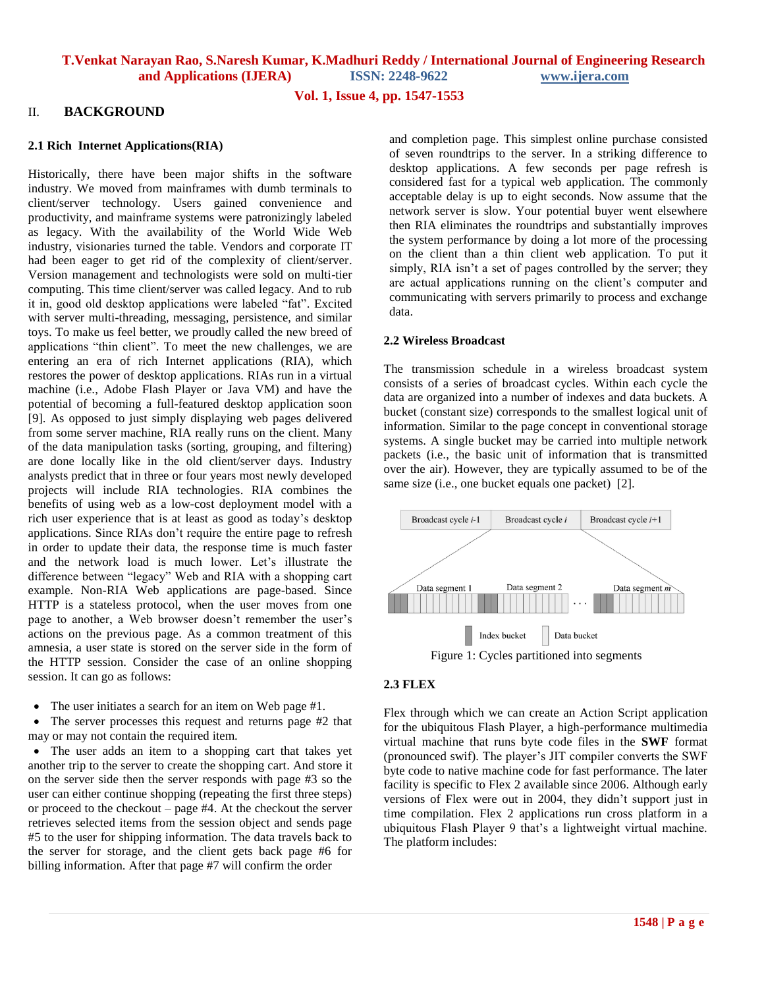**Vol. 1, Issue 4, pp. 1547-1553**

# II. **BACKGROUND**

#### **2.1 Rich Internet Applications(RIA)**

Historically, there have been major shifts in the software industry. We moved from mainframes with dumb terminals to client/server technology. Users gained convenience and productivity, and mainframe systems were patronizingly labeled as legacy. With the availability of the World Wide Web industry, visionaries turned the table. Vendors and corporate IT had been eager to get rid of the complexity of client/server. Version management and technologists were sold on multi-tier computing. This time client/server was called legacy. And to rub it in, good old desktop applications were labeled "fat". Excited with server multi-threading, messaging, persistence, and similar toys. To make us feel better, we proudly called the new breed of applications "thin client". To meet the new challenges, we are entering an era of rich Internet applications (RIA), which restores the power of desktop applications. RIAs run in a virtual machine (i.e., Adobe Flash Player or Java VM) and have the potential of becoming a full-featured desktop application soon [9]. As opposed to just simply displaying web pages delivered from some server machine, RIA really runs on the client. Many of the data manipulation tasks (sorting, grouping, and filtering) are done locally like in the old client/server days. Industry analysts predict that in three or four years most newly developed projects will include RIA technologies. RIA combines the benefits of using web as a low-cost deployment model with a rich user experience that is at least as good as today's desktop applications. Since RIAs don't require the entire page to refresh in order to update their data, the response time is much faster and the network load is much lower. Let's illustrate the difference between "legacy" Web and RIA with a shopping cart example. Non-RIA Web applications are page-based. Since HTTP is a stateless protocol, when the user moves from one page to another, a Web browser doesn't remember the user's actions on the previous page. As a common treatment of this amnesia, a user state is stored on the server side in the form of the HTTP session. Consider the case of an online shopping session. It can go as follows:

• The user initiates a search for an item on Web page #1.

• The server processes this request and returns page #2 that may or may not contain the required item.

 The user adds an item to a shopping cart that takes yet another trip to the server to create the shopping cart. And store it on the server side then the server responds with page #3 so the user can either continue shopping (repeating the first three steps) or proceed to the checkout – page #4. At the checkout the server retrieves selected items from the session object and sends page #5 to the user for shipping information. The data travels back to the server for storage, and the client gets back page #6 for billing information. After that page #7 will confirm the order

and completion page. This simplest online purchase consisted of seven roundtrips to the server. In a striking difference to desktop applications. A few seconds per page refresh is considered fast for a typical web application. The commonly acceptable delay is up to eight seconds. Now assume that the network server is slow. Your potential buyer went elsewhere then RIA eliminates the roundtrips and substantially improves the system performance by doing a lot more of the processing on the client than a thin client web application. To put it simply, RIA isn't a set of pages controlled by the server; they are actual applications running on the client's computer and communicating with servers primarily to process and exchange data.

#### **2.2 Wireless Broadcast**

The transmission schedule in a wireless broadcast system consists of a series of broadcast cycles. Within each cycle the data are organized into a number of indexes and data buckets. A bucket (constant size) corresponds to the smallest logical unit of information. Similar to the page concept in conventional storage systems. A single bucket may be carried into multiple network packets (i.e., the basic unit of information that is transmitted over the air). However, they are typically assumed to be of the same size (i.e., one bucket equals one packet) [2].



#### **2.3 FLEX**

Flex through which we can create an Action Script application for the ubiquitous Flash Player, a high-performance multimedia virtual machine that runs byte code files in the **SWF** format (pronounced swif). The player's JIT compiler converts the SWF byte code to native machine code for fast performance. The later facility is specific to Flex 2 available since 2006. Although early versions of Flex were out in 2004, they didn't support just in time compilation. Flex 2 applications run cross platform in a ubiquitous Flash Player 9 that's a lightweight virtual machine. The platform includes: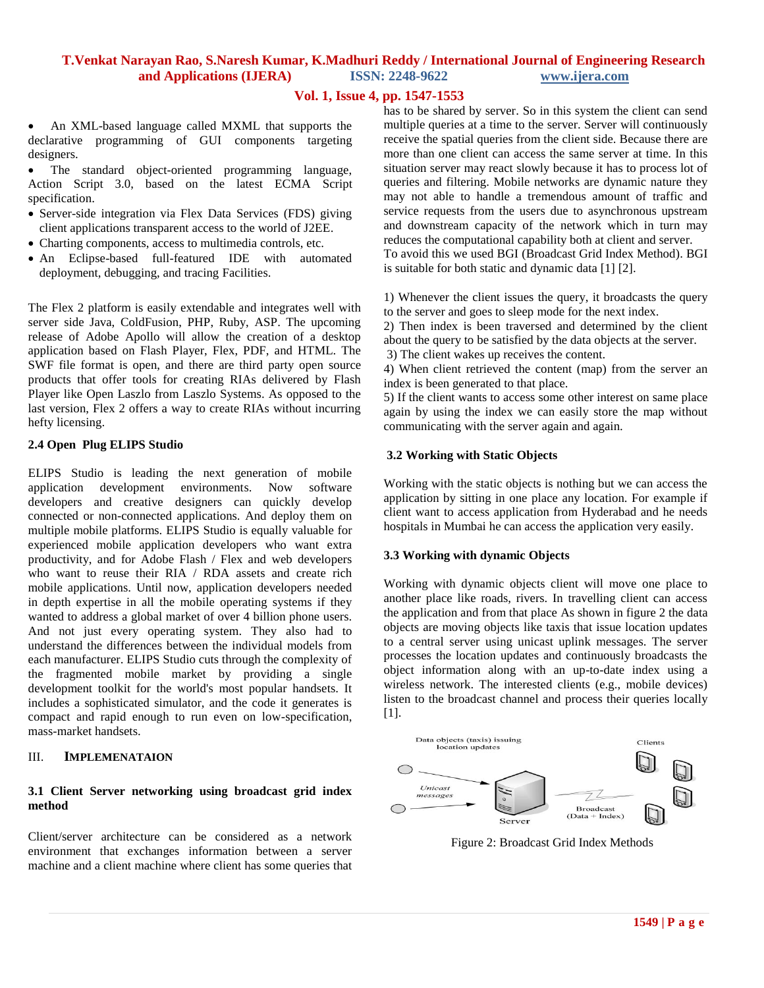# **Vol. 1, Issue 4, pp. 1547-1553**

 An XML-based language called MXML that supports the declarative programming of GUI components targeting designers.

 The standard object-oriented programming language, Action Script 3.0, based on the latest ECMA Script specification.

- Server-side integration via Flex Data Services (FDS) giving client applications transparent access to the world of J2EE.
- Charting components, access to multimedia controls, etc.
- An Eclipse-based full-featured IDE with automated deployment, debugging, and tracing Facilities.

The Flex 2 platform is easily extendable and integrates well with server side Java, ColdFusion, PHP, Ruby, ASP. The upcoming release of Adobe Apollo will allow the creation of a desktop application based on Flash Player, Flex, PDF, and HTML. The SWF file format is open, and there are third party open source products that offer tools for creating RIAs delivered by Flash Player like Open Laszlo from Laszlo Systems. As opposed to the last version, Flex 2 offers a way to create RIAs without incurring hefty licensing.

### **2.4 Open Plug ELIPS Studio**

ELIPS Studio is leading the next generation of mobile application development environments. Now software developers and creative designers can quickly develop connected or non-connected applications. And deploy them on multiple mobile platforms. ELIPS Studio is equally valuable for experienced mobile application developers who want extra productivity, and for Adobe Flash / Flex and web developers who want to reuse their RIA / RDA assets and create rich mobile applications. Until now, application developers needed in depth expertise in all the mobile operating systems if they wanted to address a global market of over 4 billion phone users. And not just every operating system. They also had to understand the differences between the individual models from each manufacturer. ELIPS Studio cuts through the complexity of the fragmented mobile market by providing a single development toolkit for the world's most popular handsets. It includes a sophisticated simulator, and the code it generates is compact and rapid enough to run even on low-specification, mass-market handsets.

### III. **IMPLEMENATAION**

### **3.1 Client Server networking using broadcast grid index method**

Client/server architecture can be considered as a network environment that exchanges information between a server machine and a client machine where client has some queries that has to be shared by server. So in this system the client can send multiple queries at a time to the server. Server will continuously receive the spatial queries from the client side. Because there are more than one client can access the same server at time. In this situation server may react slowly because it has to process lot of queries and filtering. Mobile networks are dynamic nature they may not able to handle a tremendous amount of traffic and service requests from the users due to asynchronous upstream and downstream capacity of the network which in turn may reduces the computational capability both at client and server. To avoid this we used BGI (Broadcast Grid Index Method). BGI is suitable for both static and dynamic data [1] [2].

1) Whenever the client issues the query, it broadcasts the query to the server and goes to sleep mode for the next index.

2) Then index is been traversed and determined by the client about the query to be satisfied by the data objects at the server.

3) The client wakes up receives the content.

4) When client retrieved the content (map) from the server an index is been generated to that place.

5) If the client wants to access some other interest on same place again by using the index we can easily store the map without communicating with the server again and again.

# **3.2 Working with Static Objects**

Working with the static objects is nothing but we can access the application by sitting in one place any location. For example if client want to access application from Hyderabad and he needs hospitals in Mumbai he can access the application very easily.

### **3.3 Working with dynamic Objects**

Working with dynamic objects client will move one place to another place like roads, rivers. In travelling client can access the application and from that place As shown in figure 2 the data objects are moving objects like taxis that issue location updates to a central server using unicast uplink messages. The server processes the location updates and continuously broadcasts the object information along with an up-to-date index using a wireless network. The interested clients (e.g., mobile devices) listen to the broadcast channel and process their queries locally [1].



Figure 2: Broadcast Grid Index Methods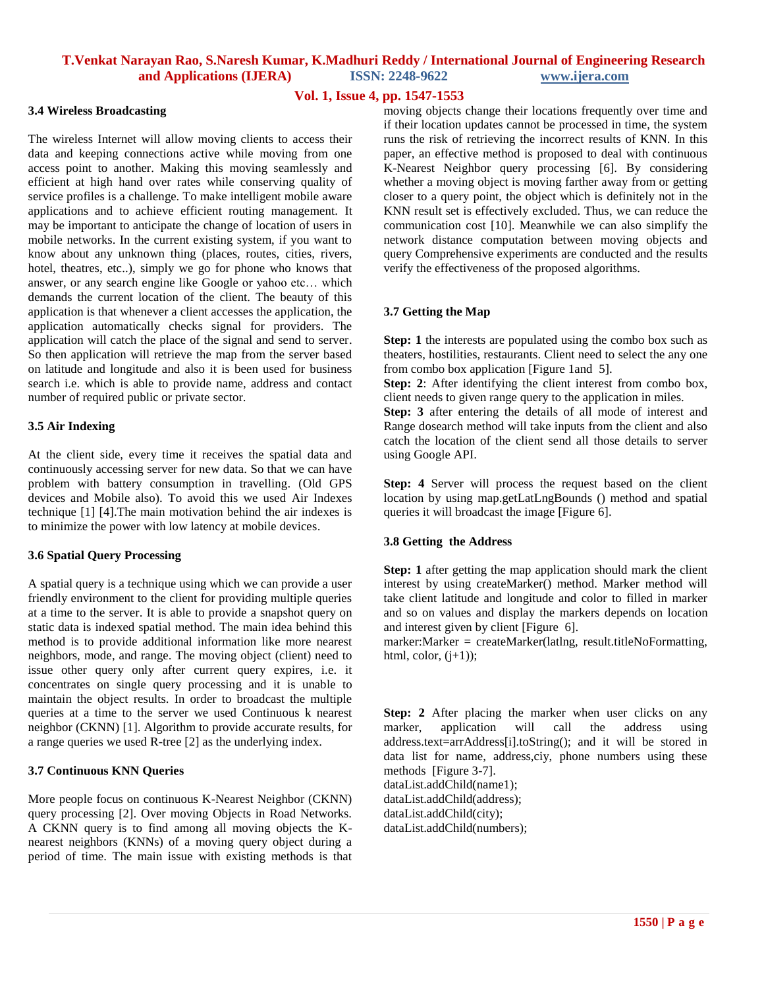**Vol. 1, Issue 4, pp. 1547-1553**

### **3.4 Wireless Broadcasting**

The wireless Internet will allow moving clients to access their data and keeping connections active while moving from one access point to another. Making this moving seamlessly and efficient at high hand over rates while conserving quality of service profiles is a challenge. To make intelligent mobile aware applications and to achieve efficient routing management. It may be important to anticipate the change of location of users in mobile networks. In the current existing system, if you want to know about any unknown thing (places, routes, cities, rivers, hotel, theatres, etc..), simply we go for phone who knows that answer, or any search engine like Google or yahoo etc… which demands the current location of the client. The beauty of this application is that whenever a client accesses the application, the application automatically checks signal for providers. The application will catch the place of the signal and send to server. So then application will retrieve the map from the server based on latitude and longitude and also it is been used for business search i.e. which is able to provide name, address and contact number of required public or private sector.

#### **3.5 Air Indexing**

At the client side, every time it receives the spatial data and continuously accessing server for new data. So that we can have problem with battery consumption in travelling. (Old GPS devices and Mobile also). To avoid this we used Air Indexes technique [1] [4].The main motivation behind the air indexes is to minimize the power with low latency at mobile devices.

### **3.6 Spatial Query Processing**

A spatial query is a technique using which we can provide a user friendly environment to the client for providing multiple queries at a time to the server. It is able to provide a snapshot query on static data is indexed spatial method. The main idea behind this method is to provide additional information like more nearest neighbors, mode, and range. The moving object (client) need to issue other query only after current query expires, i.e. it concentrates on single query processing and it is unable to maintain the object results. In order to broadcast the multiple queries at a time to the server we used Continuous k nearest neighbor (CKNN) [1]. Algorithm to provide accurate results, for a range queries we used R-tree [2] as the underlying index.

#### **3.7 Continuous KNN Queries**

More people focus on continuous K-Nearest Neighbor (CKNN) query processing [2]. Over moving Objects in Road Networks. A CKNN query is to find among all moving objects the Knearest neighbors (KNNs) of a moving query object during a period of time. The main issue with existing methods is that

moving objects change their locations frequently over time and if their location updates cannot be processed in time, the system runs the risk of retrieving the incorrect results of KNN. In this paper, an effective method is proposed to deal with continuous K-Nearest Neighbor query processing [6]. By considering whether a moving object is moving farther away from or getting closer to a query point, the object which is definitely not in the KNN result set is effectively excluded. Thus, we can reduce the communication cost [10]. Meanwhile we can also simplify the network distance computation between moving objects and query Comprehensive experiments are conducted and the results verify the effectiveness of the proposed algorithms.

#### **3.7 Getting the Map**

**Step: 1** the interests are populated using the combo box such as theaters, hostilities, restaurants. Client need to select the any one from combo box application [Figure 1and 5].

**Step: 2**: After identifying the client interest from combo box, client needs to given range query to the application in miles.

**Step: 3** after entering the details of all mode of interest and Range dosearch method will take inputs from the client and also catch the location of the client send all those details to server using Google API.

**Step: 4** Server will process the request based on the client location by using map.getLatLngBounds () method and spatial queries it will broadcast the image [Figure 6].

### **3.8 Getting the Address**

**Step: 1** after getting the map application should mark the client interest by using createMarker() method. Marker method will take client latitude and longitude and color to filled in marker and so on values and display the markers depends on location and interest given by client [Figure 6].

 $market: Market = createMarket(lating, result.titleNoFormatting,$ html, color,  $(i+1)$ );

**Step: 2** After placing the marker when user clicks on any marker, application will call the address using address.text=arrAddress[i].toString(); and it will be stored in data list for name, address,ciy, phone numbers using these methods [Figure 3-7]. dataList.addChild(name1);

dataList.addChild(address); dataList.addChild(city); dataList.addChild(numbers);

**1550 | P a g e**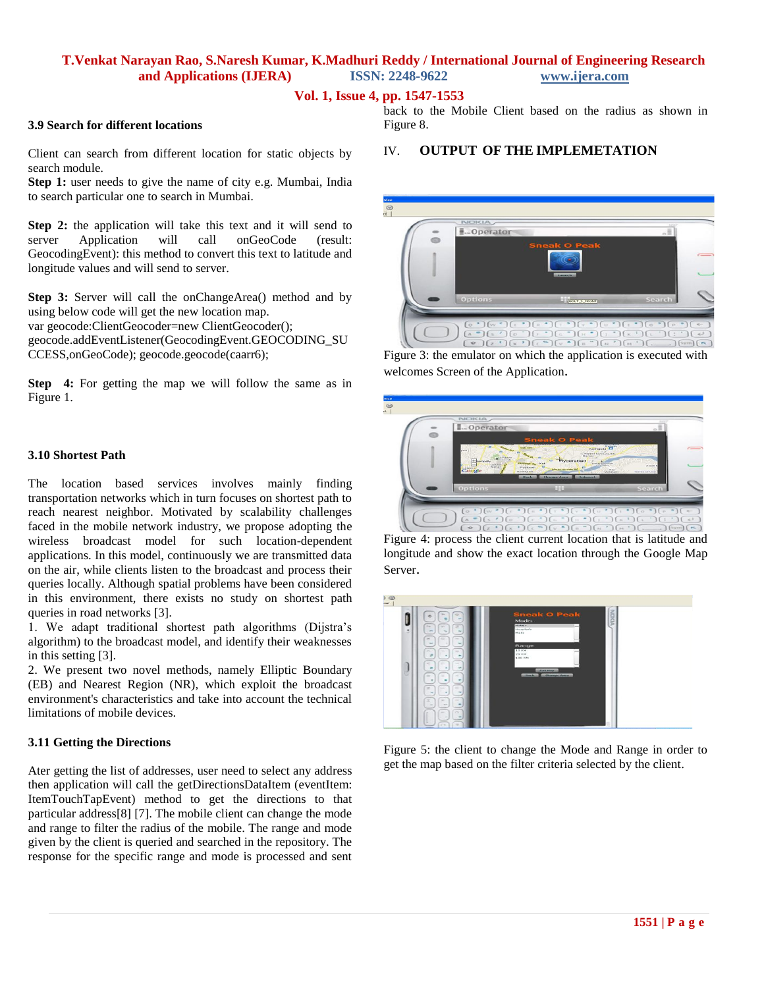# **Vol. 1, Issue 4, pp. 1547-1553**

#### **3.9 Search for different locations**

Client can search from different location for static objects by search module.

**Step 1:** user needs to give the name of city e.g. Mumbai, India to search particular one to search in Mumbai.

**Step 2:** the application will take this text and it will send to server Application will call onGeoCode (result: GeocodingEvent): this method to convert this text to latitude and longitude values and will send to server.

**Step 3:** Server will call the onChangeArea() method and by using below code will get the new location map.

var geocode:ClientGeocoder=new ClientGeocoder();

geocode.addEventListener(GeocodingEvent.GEOCODING\_SU CCESS,onGeoCode); geocode.geocode(caarr6);

**Step 4:** For getting the map we will follow the same as in Figure 1.

### **3.10 Shortest Path**

The location based services involves mainly finding transportation networks which in turn focuses on shortest path to reach nearest neighbor. Motivated by scalability challenges faced in the mobile network industry, we propose adopting the wireless broadcast model for such location-dependent applications. In this model, continuously we are transmitted data on the air, while clients listen to the broadcast and process their queries locally. Although spatial problems have been considered in this environment, there exists no study on shortest path queries in road networks [3].

1. We adapt traditional shortest path algorithms (Dijstra's algorithm) to the broadcast model, and identify their weaknesses in this setting [3].

2. We present two novel methods, namely Elliptic Boundary (EB) and Nearest Region (NR), which exploit the broadcast environment's characteristics and take into account the technical limitations of mobile devices.

### **3.11 Getting the Directions**

Ater getting the list of addresses, user need to select any address then application will call the getDirectionsDataItem (eventItem: ItemTouchTapEvent) method to get the directions to that particular address[8] [7]. The mobile client can change the mode and range to filter the radius of the mobile. The range and mode given by the client is queried and searched in the repository. The response for the specific range and mode is processed and sent

back to the Mobile Client based on the radius as shown in Figure 8.

# IV. **OUTPUT OF THE IMPLEMETATION**



Figure 3: the emulator on which the application is executed with welcomes Screen of the Application.



Figure 4: process the client current location that is latitude and longitude and show the exact location through the Google Map Server.



Figure 5: the client to change the Mode and Range in order to get the map based on the filter criteria selected by the client.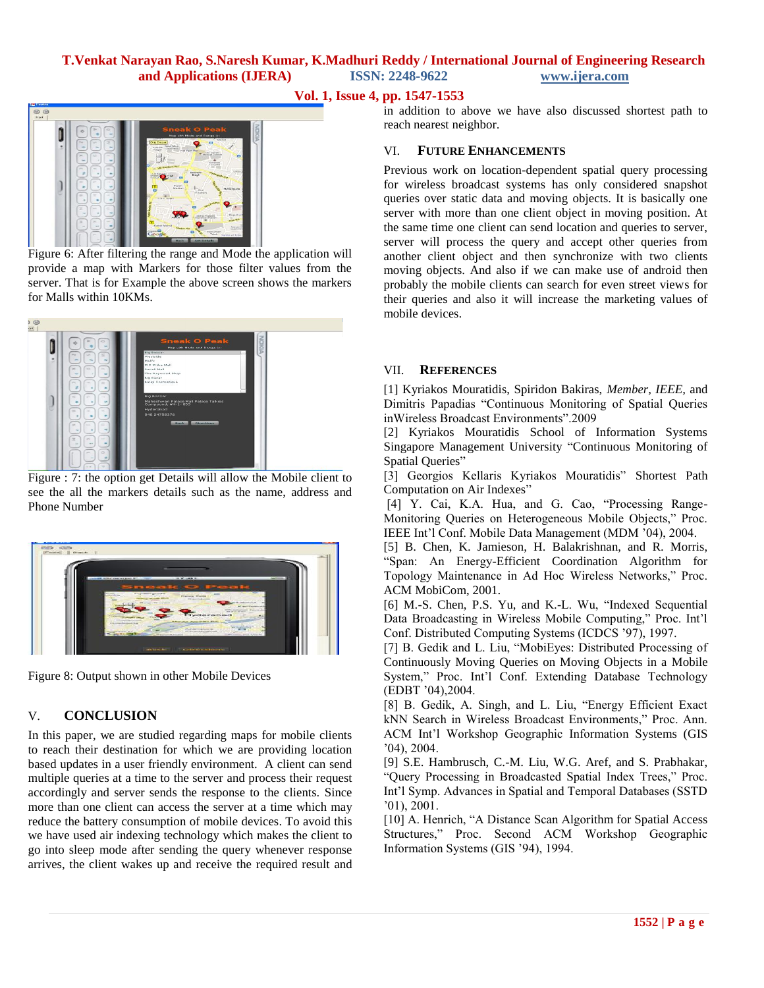

Figure 6: After filtering the range and Mode the application will provide a map with Markers for those filter values from the server. That is for Example the above screen shows the markers for Malls within 10KMs.



Figure : 7: the option get Details will allow the Mobile client to see the all the markers details such as the name, address and Phone Number



Figure 8: Output shown in other Mobile Devices

# V. **CONCLUSION**

In this paper, we are studied regarding maps for mobile clients to reach their destination for which we are providing location based updates in a user friendly environment. A client can send multiple queries at a time to the server and process their request accordingly and server sends the response to the clients. Since more than one client can access the server at a time which may reduce the battery consumption of mobile devices. To avoid this we have used air indexing technology which makes the client to go into sleep mode after sending the query whenever response arrives, the client wakes up and receive the required result and

# **Vol. 1, Issue 4, pp. 1547-1553**

in addition to above we have also discussed shortest path to reach nearest neighbor.

# VI. **FUTURE ENHANCEMENTS**

Previous work on location-dependent spatial query processing for wireless broadcast systems has only considered snapshot queries over static data and moving objects. It is basically one server with more than one client object in moving position. At the same time one client can send location and queries to server, server will process the query and accept other queries from another client object and then synchronize with two clients moving objects. And also if we can make use of android then probably the mobile clients can search for even street views for their queries and also it will increase the marketing values of mobile devices.

# VII. **REFERENCES**

[1] Kyriakos Mouratidis, Spiridon Bakiras, *Member, IEEE,* and Dimitris Papadias "Continuous Monitoring of Spatial Queries inWireless Broadcast Environments".2009

[2] Kyriakos Mouratidis School of Information Systems Singapore Management University "Continuous Monitoring of Spatial Queries"

[3] Georgios Kellaris Kyriakos Mouratidis" Shortest Path Computation on Air Indexes"

[4] Y. Cai, K.A. Hua, and G. Cao, "Processing Range-Monitoring Queries on Heterogeneous Mobile Objects," Proc. IEEE Int'l Conf. Mobile Data Management (MDM '04), 2004.

[5] B. Chen, K. Jamieson, H. Balakrishnan, and R. Morris, "Span: An Energy-Efficient Coordination Algorithm for Topology Maintenance in Ad Hoc Wireless Networks," Proc. ACM MobiCom, 2001.

[6] M.-S. Chen, P.S. Yu, and K.-L. Wu, "Indexed Sequential Data Broadcasting in Wireless Mobile Computing," Proc. Int'l Conf. Distributed Computing Systems (ICDCS '97), 1997.

[7] B. Gedik and L. Liu, "MobiEyes: Distributed Processing of Continuously Moving Queries on Moving Objects in a Mobile System," Proc. Int'l Conf. Extending Database Technology (EDBT '04),2004.

[8] B. Gedik, A. Singh, and L. Liu, "Energy Efficient Exact kNN Search in Wireless Broadcast Environments," Proc. Ann. ACM Int'l Workshop Geographic Information Systems (GIS '04), 2004.

[9] S.E. Hambrusch, C.-M. Liu, W.G. Aref, and S. Prabhakar, "Query Processing in Broadcasted Spatial Index Trees," Proc. Int'l Symp. Advances in Spatial and Temporal Databases (SSTD '01), 2001.

[10] A. Henrich, "A Distance Scan Algorithm for Spatial Access Structures," Proc. Second ACM Workshop Geographic Information Systems (GIS '94), 1994.